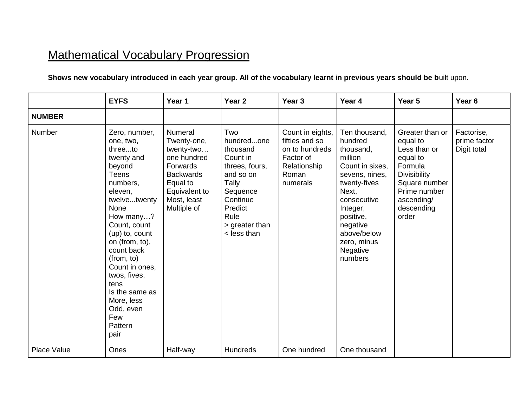## Mathematical Vocabulary Progression

## **Shows new vocabulary introduced in each year group. All of the vocabulary learnt in previous years should be b**uilt upon.

|                    | <b>EYFS</b>                                                                                                                                                                                                                                                                                                                                | Year 1                                                                                                                                                | Year <sub>2</sub>                                                                                                                                                 | Year <sub>3</sub>                                                                                      | Year 4                                                                                                                                                                                                                  | Year <sub>5</sub>                                                                                                                                               | Year <sub>6</sub>                         |
|--------------------|--------------------------------------------------------------------------------------------------------------------------------------------------------------------------------------------------------------------------------------------------------------------------------------------------------------------------------------------|-------------------------------------------------------------------------------------------------------------------------------------------------------|-------------------------------------------------------------------------------------------------------------------------------------------------------------------|--------------------------------------------------------------------------------------------------------|-------------------------------------------------------------------------------------------------------------------------------------------------------------------------------------------------------------------------|-----------------------------------------------------------------------------------------------------------------------------------------------------------------|-------------------------------------------|
| <b>NUMBER</b>      |                                                                                                                                                                                                                                                                                                                                            |                                                                                                                                                       |                                                                                                                                                                   |                                                                                                        |                                                                                                                                                                                                                         |                                                                                                                                                                 |                                           |
| Number             | Zero, number,<br>one, two,<br>threeto<br>twenty and<br>beyond<br><b>Teens</b><br>numbers,<br>eleven,<br>twelvetwenty<br>None<br>How many?<br>Count, count<br>(up) to, count<br>on (from, to),<br>count back<br>(from, to)<br>Count in ones,<br>twos, fives,<br>tens<br>Is the same as<br>More, less<br>Odd, even<br>Few<br>Pattern<br>pair | <b>Numeral</b><br>Twenty-one,<br>twenty-two<br>one hundred<br>Forwards<br><b>Backwards</b><br>Equal to<br>Equivalent to<br>Most, least<br>Multiple of | Two<br>hundredone<br>thousand<br>Count in<br>threes, fours,<br>and so on<br>Tally<br>Sequence<br>Continue<br>Predict<br>Rule<br>> greater than<br>$\le$ less than | Count in eights,<br>fifties and so<br>on to hundreds<br>Factor of<br>Relationship<br>Roman<br>numerals | Ten thousand,<br>hundred<br>thousand,<br>million<br>Count in sixes.<br>sevens, nines,<br>twenty-fives<br>Next,<br>consecutive<br>Integer,<br>positive,<br>negative<br>above/below<br>zero, minus<br>Negative<br>numbers | Greater than or<br>equal to<br>Less than or<br>equal to<br>Formula<br><b>Divisibility</b><br>Square number<br>Prime number<br>ascending/<br>descending<br>order | Factorise,<br>prime factor<br>Digit total |
| <b>Place Value</b> | Ones                                                                                                                                                                                                                                                                                                                                       | Half-way                                                                                                                                              | Hundreds                                                                                                                                                          | One hundred                                                                                            | One thousand                                                                                                                                                                                                            |                                                                                                                                                                 |                                           |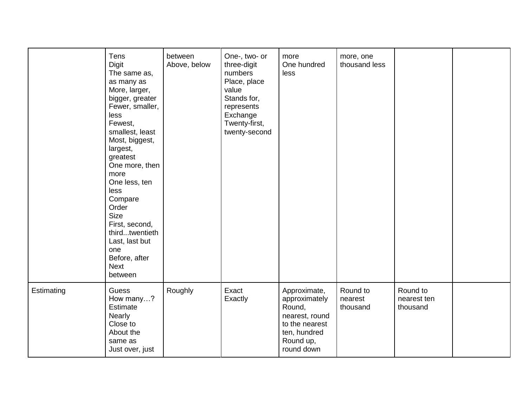|            | Tens<br><b>Digit</b><br>The same as,<br>as many as<br>More, larger,<br>bigger, greater<br>Fewer, smaller,<br>less<br>Fewest,<br>smallest, least<br>Most, biggest,<br>largest,<br>greatest<br>One more, then<br>more<br>One less, ten<br>less<br>Compare<br>Order<br><b>Size</b><br>First, second,<br>thirdtwentieth<br>Last, last but<br>one<br>Before, after<br><b>Next</b><br>between | between<br>Above, below | One-, two- or<br>three-digit<br>numbers<br>Place, place<br>value<br>Stands for,<br>represents<br>Exchange<br>Twenty-first,<br>twenty-second | more<br>One hundred<br>less                                                                                            | more, one<br>thousand less      |                                     |  |
|------------|-----------------------------------------------------------------------------------------------------------------------------------------------------------------------------------------------------------------------------------------------------------------------------------------------------------------------------------------------------------------------------------------|-------------------------|---------------------------------------------------------------------------------------------------------------------------------------------|------------------------------------------------------------------------------------------------------------------------|---------------------------------|-------------------------------------|--|
| Estimating | Guess<br>How many?<br>Estimate<br><b>Nearly</b><br>Close to<br>About the<br>same as<br>Just over, just                                                                                                                                                                                                                                                                                  | Roughly                 | Exact<br>Exactly                                                                                                                            | Approximate,<br>approximately<br>Round,<br>nearest, round<br>to the nearest<br>ten, hundred<br>Round up,<br>round down | Round to<br>nearest<br>thousand | Round to<br>nearest ten<br>thousand |  |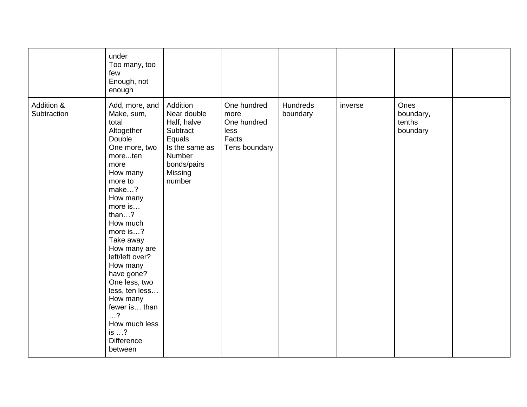|                           | under<br>Too many, too<br>few<br>Enough, not<br>enough                                                                                                                                                                                                                                                                                                                                                                       |                                                                                                                              |                                                                      |                      |         |                                         |  |
|---------------------------|------------------------------------------------------------------------------------------------------------------------------------------------------------------------------------------------------------------------------------------------------------------------------------------------------------------------------------------------------------------------------------------------------------------------------|------------------------------------------------------------------------------------------------------------------------------|----------------------------------------------------------------------|----------------------|---------|-----------------------------------------|--|
| Addition &<br>Subtraction | Add, more, and<br>Make, sum,<br>total<br>Altogether<br>Double<br>One more, two<br>moreten<br>more<br>How many<br>more to<br>make?<br>How many<br>more is<br>than $\dots$ ?<br>How much<br>more is?<br>Take away<br>How many are<br>left/left over?<br>How many<br>have gone?<br>One less, two<br>less, ten less<br>How many<br>fewer is than<br>$\ldots$ ?<br>How much less<br>is $\ldots$ ?<br><b>Difference</b><br>between | Addition<br>Near double<br>Half, halve<br>Subtract<br>Equals<br>Is the same as<br>Number<br>bonds/pairs<br>Missing<br>number | One hundred<br>more<br>One hundred<br>less<br>Facts<br>Tens boundary | Hundreds<br>boundary | inverse | Ones<br>boundary,<br>tenths<br>boundary |  |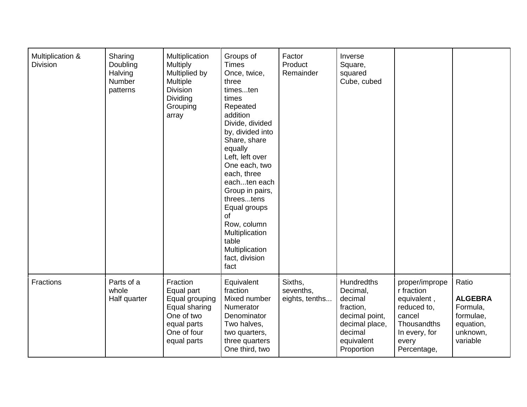| Multiplication &<br><b>Division</b> | Sharing<br>Doubling<br>Halving<br>Number<br>patterns | Multiplication<br><b>Multiply</b><br>Multiplied by<br>Multiple<br><b>Division</b><br><b>Dividing</b><br>Grouping<br>array | Groups of<br><b>Times</b><br>Once, twice,<br>three<br>timesten<br>times<br>Repeated<br>addition<br>Divide, divided<br>by, divided into<br>Share, share<br>equally<br>Left, left over<br>One each, two<br>each, three<br>eachten each<br>Group in pairs,<br>threestens<br>Equal groups<br>of<br>Row, column<br>Multiplication<br>table<br>Multiplication<br>fact, division<br>fact | Factor<br>Product<br>Remainder         | Inverse<br>Square,<br>squared<br>Cube, cubed                                                                                     |                                                                                                                              |                                                                                       |
|-------------------------------------|------------------------------------------------------|---------------------------------------------------------------------------------------------------------------------------|-----------------------------------------------------------------------------------------------------------------------------------------------------------------------------------------------------------------------------------------------------------------------------------------------------------------------------------------------------------------------------------|----------------------------------------|----------------------------------------------------------------------------------------------------------------------------------|------------------------------------------------------------------------------------------------------------------------------|---------------------------------------------------------------------------------------|
| Fractions                           | Parts of a<br>whole<br>Half quarter                  | Fraction<br>Equal part<br>Equal grouping<br>Equal sharing<br>One of two<br>equal parts<br>One of four<br>equal parts      | Equivalent<br>fraction<br>Mixed number<br>Numerator<br>Denominator<br>Two halves,<br>two quarters,<br>three quarters<br>One third, two                                                                                                                                                                                                                                            | Sixths,<br>sevenths,<br>eights, tenths | <b>Hundredths</b><br>Decimal,<br>decimal<br>fraction,<br>decimal point,<br>decimal place,<br>decimal<br>equivalent<br>Proportion | proper/imprope<br>r fraction<br>equivalent,<br>reduced to,<br>cancel<br>Thousandths<br>In every, for<br>every<br>Percentage, | Ratio<br><b>ALGEBRA</b><br>Formula,<br>formulae,<br>equation,<br>unknown,<br>variable |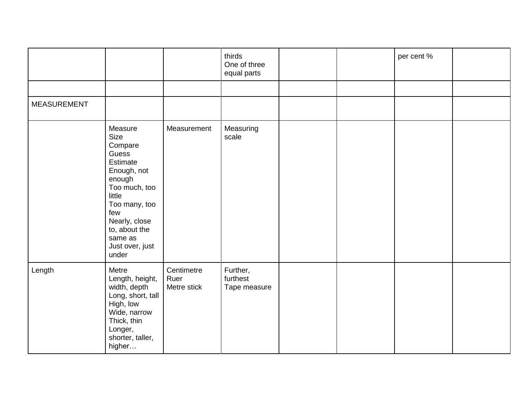|                    |                                                                                                                                                                                                      |                                   | thirds<br>One of three<br>equal parts |  | per cent % |  |
|--------------------|------------------------------------------------------------------------------------------------------------------------------------------------------------------------------------------------------|-----------------------------------|---------------------------------------|--|------------|--|
|                    |                                                                                                                                                                                                      |                                   |                                       |  |            |  |
| <b>MEASUREMENT</b> |                                                                                                                                                                                                      |                                   |                                       |  |            |  |
|                    | Measure<br>Size<br>Compare<br>Guess<br>Estimate<br>Enough, not<br>enough<br>Too much, too<br>little<br>Too many, too<br>few<br>Nearly, close<br>to, about the<br>same as<br>Just over, just<br>under | Measurement                       | Measuring<br>scale                    |  |            |  |
| Length             | Metre<br>Length, height,<br>width, depth<br>Long, short, tall<br>High, low<br>Wide, narrow<br>Thick, thin<br>Longer,<br>shorter, taller,<br>higher                                                   | Centimetre<br>Ruer<br>Metre stick | Further,<br>furthest<br>Tape measure  |  |            |  |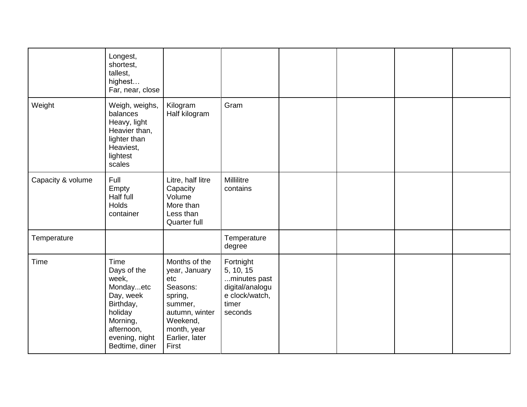|                   | Longest,<br>shortest,<br>tallest,<br>highest<br>Far, near, close                                                                             |                                                                                                                                                 |                                                                                                 |  |  |
|-------------------|----------------------------------------------------------------------------------------------------------------------------------------------|-------------------------------------------------------------------------------------------------------------------------------------------------|-------------------------------------------------------------------------------------------------|--|--|
| Weight            | Weigh, weighs,<br>balances<br>Heavy, light<br>Heavier than,<br>lighter than<br>Heaviest,<br>lightest<br>scales                               | Kilogram<br>Half kilogram                                                                                                                       | Gram                                                                                            |  |  |
| Capacity & volume | Full<br>Empty<br>Half full<br>Holds<br>container                                                                                             | Litre, half litre<br>Capacity<br>Volume<br>More than<br>Less than<br>Quarter full                                                               | Millilitre<br>contains                                                                          |  |  |
| Temperature       |                                                                                                                                              |                                                                                                                                                 | Temperature<br>degree                                                                           |  |  |
| Time              | Time<br>Days of the<br>week,<br>Mondayetc<br>Day, week<br>Birthday,<br>holiday<br>Morning,<br>afternoon,<br>evening, night<br>Bedtime, diner | Months of the<br>year, January<br>etc<br>Seasons:<br>spring,<br>summer,<br>autumn, winter<br>Weekend,<br>month, year<br>Earlier, later<br>First | Fortnight<br>5, 10, 15<br>minutes past<br>digital/analogu<br>e clock/watch,<br>timer<br>seconds |  |  |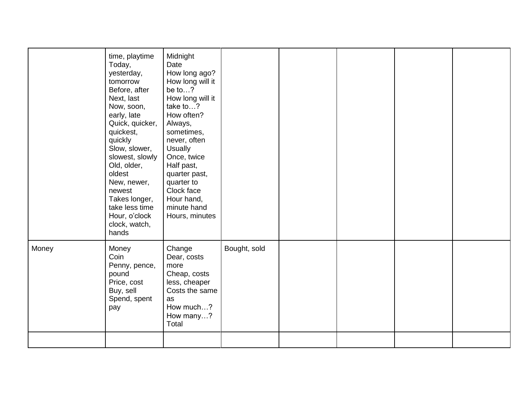|       | time, playtime<br>Today,<br>yesterday,<br>tomorrow<br>Before, after<br>Next, last<br>Now, soon,<br>early, late<br>Quick, quicker,<br>quickest,<br>quickly<br>Slow, slower,<br>slowest, slowly<br>Old, older,<br>oldest<br>New, newer,<br>newest<br>Takes longer, | Midnight<br>Date<br>How long ago?<br>How long will it<br>be to?<br>How long will it<br>take to?<br>How often?<br>Always,<br>sometimes,<br>never, often<br><b>Usually</b><br>Once, twice<br>Half past,<br>quarter past,<br>quarter to<br>Clock face<br>Hour hand, |              |  |  |
|-------|------------------------------------------------------------------------------------------------------------------------------------------------------------------------------------------------------------------------------------------------------------------|------------------------------------------------------------------------------------------------------------------------------------------------------------------------------------------------------------------------------------------------------------------|--------------|--|--|
|       | Hour, o'clock<br>clock, watch,<br>hands                                                                                                                                                                                                                          | Hours, minutes                                                                                                                                                                                                                                                   |              |  |  |
| Money | Money<br>Coin<br>Penny, pence,<br>pound<br>Price, cost<br>Buy, sell<br>Spend, spent<br>pay                                                                                                                                                                       | Change<br>Dear, costs<br>more<br>Cheap, costs<br>less, cheaper<br>Costs the same<br>as<br>How much?<br>How many?<br>Total                                                                                                                                        | Bought, sold |  |  |
|       |                                                                                                                                                                                                                                                                  |                                                                                                                                                                                                                                                                  |              |  |  |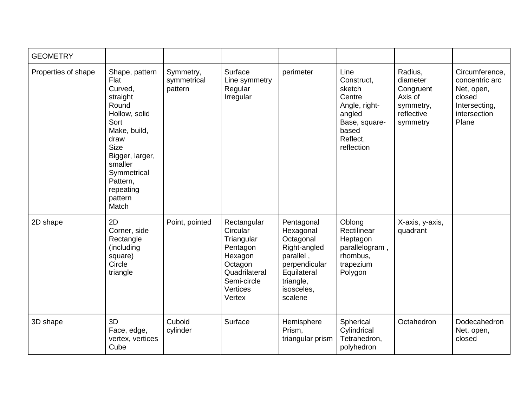| <b>GEOMETRY</b>     |                                                                                                                                                                                                                  |                                     |                                                                                                                               |                                                                                                                                         |                                                                                                                       |                                                                                    |                                                                                                    |
|---------------------|------------------------------------------------------------------------------------------------------------------------------------------------------------------------------------------------------------------|-------------------------------------|-------------------------------------------------------------------------------------------------------------------------------|-----------------------------------------------------------------------------------------------------------------------------------------|-----------------------------------------------------------------------------------------------------------------------|------------------------------------------------------------------------------------|----------------------------------------------------------------------------------------------------|
| Properties of shape | Shape, pattern<br>Flat<br>Curved,<br>straight<br>Round<br>Hollow, solid<br>Sort<br>Make, build,<br>draw<br><b>Size</b><br>Bigger, larger,<br>smaller<br>Symmetrical<br>Pattern,<br>repeating<br>pattern<br>Match | Symmetry,<br>symmetrical<br>pattern | Surface<br>Line symmetry<br>Regular<br>Irregular                                                                              | perimeter                                                                                                                               | Line<br>Construct.<br>sketch<br>Centre<br>Angle, right-<br>angled<br>Base, square-<br>based<br>Reflect.<br>reflection | Radius,<br>diameter<br>Congruent<br>Axis of<br>symmetry,<br>reflective<br>symmetry | Circumference,<br>concentric arc<br>Net, open,<br>closed<br>Intersecting,<br>intersection<br>Plane |
| 2D shape            | 2D<br>Corner, side<br>Rectangle<br>(including<br>square)<br>Circle<br>triangle                                                                                                                                   | Point, pointed                      | Rectangular<br>Circular<br>Triangular<br>Pentagon<br>Hexagon<br>Octagon<br>Quadrilateral<br>Semi-circle<br>Vertices<br>Vertex | Pentagonal<br>Hexagonal<br>Octagonal<br>Right-angled<br>parallel,<br>perpendicular<br>Equilateral<br>triangle,<br>isosceles,<br>scalene | Oblong<br>Rectilinear<br>Heptagon<br>parallelogram,<br>rhombus,<br>trapezium<br>Polygon                               | X-axis, y-axis,<br>quadrant                                                        |                                                                                                    |
| 3D shape            | 3D<br>Face, edge,<br>vertex, vertices<br>Cube                                                                                                                                                                    | Cuboid<br>cylinder                  | Surface                                                                                                                       | Hemisphere<br>Prism,<br>triangular prism                                                                                                | Spherical<br>Cylindrical<br>Tetrahedron,<br>polyhedron                                                                | Octahedron                                                                         | Dodecahedron<br>Net, open,<br>closed                                                               |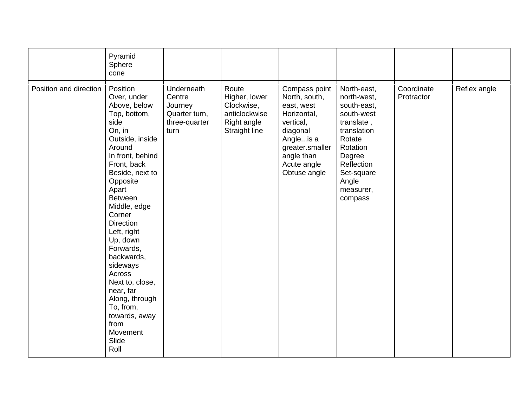|                        | Pyramid<br>Sphere<br>cone                                                                                                                                                                                                                                                                                                                                                                                                                          |                                                                           |                                                                                       |                                                                                                                                                                   |                                                                                                                                                                                   |                          |              |
|------------------------|----------------------------------------------------------------------------------------------------------------------------------------------------------------------------------------------------------------------------------------------------------------------------------------------------------------------------------------------------------------------------------------------------------------------------------------------------|---------------------------------------------------------------------------|---------------------------------------------------------------------------------------|-------------------------------------------------------------------------------------------------------------------------------------------------------------------|-----------------------------------------------------------------------------------------------------------------------------------------------------------------------------------|--------------------------|--------------|
| Position and direction | Position<br>Over, under<br>Above, below<br>Top, bottom,<br>side<br>On, in<br>Outside, inside<br>Around<br>In front, behind<br>Front, back<br>Beside, next to<br>Opposite<br>Apart<br><b>Between</b><br>Middle, edge<br>Corner<br><b>Direction</b><br>Left, right<br>Up, down<br>Forwards,<br>backwards,<br>sideways<br>Across<br>Next to, close,<br>near, far<br>Along, through<br>To, from,<br>towards, away<br>from<br>Movement<br>Slide<br>Roll | Underneath<br>Centre<br>Journey<br>Quarter turn,<br>three-quarter<br>turn | Route<br>Higher, lower<br>Clockwise,<br>anticlockwise<br>Right angle<br>Straight line | Compass point<br>North, south,<br>east, west<br>Horizontal,<br>vertical,<br>diagonal<br>Angleis a<br>greater.smaller<br>angle than<br>Acute angle<br>Obtuse angle | North-east,<br>north-west,<br>south-east,<br>south-west<br>translate,<br>translation<br>Rotate<br>Rotation<br>Degree<br>Reflection<br>Set-square<br>Angle<br>measurer,<br>compass | Coordinate<br>Protractor | Reflex angle |